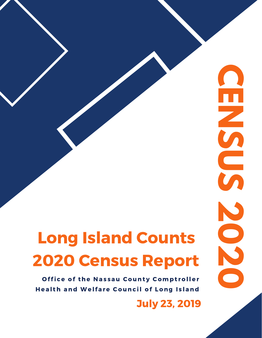## Long Island Counts 2020 Census Report

Office of the Nassau County Comptroller Health and Welfare Council of Long Island

July 23, 2019

**C**

**E**

**N**

**S**

**U**

**S**

**2**

**0**

**2**

**0**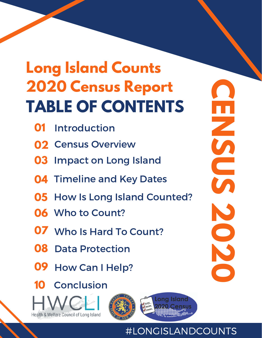## **TABLE OF CONTENTS Long Island Counts 2020 Census Report**

- **01** Introduction
- **02** Census Overview
- **03** Impact on Long Island
- **04** Timeline and Key Dates
- **05** How Is Long Island Counted?
- **06** Who to Count?
- **07** Who Is Hard To Count?
- **08** Data Protection
- **09** How Can I Help?
- **10** Conclusion









## #LONGISLANDCOUNTS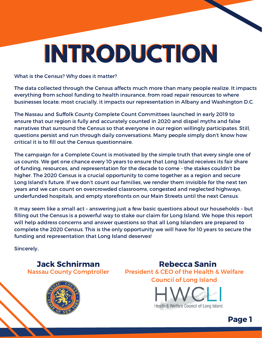# **INTRODUCTION**

What is the Census? Why does it matter?

The data collected through the Census affects much more than many people realize. It impacts everything from school funding to health insurance, from road repair resources to where businesses locate; most crucially, it impacts our representation in Albany and Washington D.C.

The Nassau and Suffolk County Complete Count Committees launched in early 2019 to ensure that our region is fully and accurately counted in 2020 and dispel myths and false narratives that surround the Census so that everyone in our region willingly participates. Still, questions persist and run through daily conversations. Many people simply don't know how critical it is to fill out the Census questionnaire.

The campaign for a Complete Count is motivated by the simple truth that every single one of us counts. We get one chance every 10 years to ensure that Long Island receives its fair share of funding, resources, and representation for the decade to come - the stakes couldn't be higher. The 2020 Census is a crucial opportunity to come together as a region and secure Long Island's future. If we don't count our families, we render them invisible for the next ten years and we can count on overcrowded classrooms, congested and neglected highways, underfunded hospitals, and empty storefronts on our Main Streets until the next Census.

It may seem like a small act – answering just a few basic questions about our households – but filling out the Census is a powerful way to stake our claim for Long Island. We hope this report will help address concerns and answer questions so that all Long Islanders are prepared to complete the 2020 Census. This is the only opportunity we will have for 10 years to secure the funding and representation that Long Island deserves!

Sincerely,

#### Jack Schnirman Rebecca Sanin Nassau County Comptroller

President & CEO of the Health & Welfare Council of Long Island



Page 1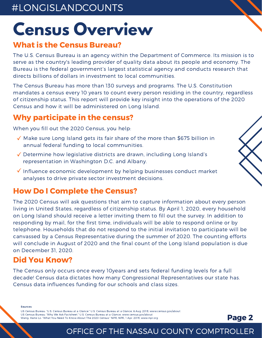## **Census Overview**

### What is the Census Bureau?

The U.S. Census Bureau is an agency within the Department of Commerce. Its mission is to serve as the country's leading provider of quality data about its people and economy. The Bureau is the federal government's largest statistical agency and conducts research that directs billions of dollars in investment to local communities.

The Census Bureau has more than 130 surveys and programs. The U.S. Constitution mandates a census every 10 years to count every person residing in the country, regardless of citizenship status. This report will provide key insight into the operations of the 2020 Census and how it will be administered on Long Island.

## Why participate in the census?

When you fill out the 2020 Census, you help:

- $\sqrt{\ }$  Make sure Long Island gets its fair share of the more than \$675 billion in annual federal funding to local communities.
- Determine how legislative districts are drawn, including Long Island's representation in Washington D.C. and Albany.
- $\sqrt{\ }$  Influence economic development by helping businesses conduct market analyses to drive private sector investment decisions.

### How Do I Complete the Census?

The 2020 Census will ask questions that aim to capture information about every person living in United States, regardless of citizenship status. By April 1, 2020, every household on Long Island should receive a letter inviting them to fill out the survey. In addition to responding by mail, for the first time, individuals will be able to respond online or by telephone. Households that do not respond to the initial invitation to participate will be canvassed by a Census Representative during the summer of 2020. The counting efforts will conclude in August of 2020 and the final count of the Long Island population is due on December 31, 2020.

### Did You Know?

The Census only occurs once every 10years and sets federal funding levels for a full decade! Census data dictates how many Congressional Representatives our state has. Census data influences funding for our schools and class sizes.

#### Sources:

US Census Bureau. "U.S. Census Bureau at a Glance." U.S. Census Bureau at a Glance, 6 Aug. 2018, www.census.gov/about US Census Bureau. "Why We Ask Factsheet." U.S. Census Bureau at a Glance, www.census.gov/about Wang, Hansi Lo. "What You Need To Know About The 2020 Census." NPR, NPR, 1 Apr. 2019, www.npr.org

Page 2

3

### OFFICE OF THE NASSAU COUNTY COMPTROLLER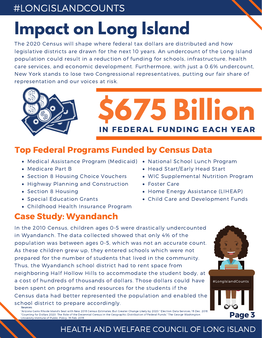## **Impact on Long Island**

The 2020 Census will shape where federal tax dollars are distributed and how legislative districts are drawn for the next 10 years. An undercount of the Long Island population could result in a reduction of funding for schools, infrastructure, health care services, and economic development. Furthermore, with just a 0.6% undercount, New York stands to lose two Congressional representatives, putting our fair share of representation and our voices at risk.



## **\$675 Billion** IN FEDERAL FUNDING EACH YEAR

## Top Federal Programs Funded by Census Data

- Medical Assistance Program (Medicaid) National School Lunch Program
- Medicare Part B
- Section 8 Housing Choice Vouchers
- Highway Planning and Construction
- Section 8 Housing

Sources:

- Special Education Grants
- Childhood Health Insurance Program

## Case Study: Wyandanch

- 
- Head Start/Early Head Start
- WIC Supplemental Nutrition Program
- Foster Care
- Home Energy Assistance (LIHEAP)
- Child Care and Development Funds

In the 2010 Census, children ages 0-5 were drastically undercounted in Wyandanch. The data collected showed that only 4% of the population was between ages 0-5, which was not an accurate count. As these children grew up, they entered schools which were not prepared for the number of students that lived in the community. Thus, the Wyandanch school district had to rent space from neighboring Half Hollow Hills to accommodate the student body, at a cost of hundreds of thousands of dollars. Those dollars could have been spent on programs and resources for the students if the Census data had better represented the population and enabled the school district to prepare accordingly.



Page 3

3

"Arizona Gains Rhode Island's Seat with New 2018 Census Estimates; But Greater Change Likely by 2020." Election Data Services, 19 Dec. 2018. "Counting for Dollars 2020: The Role of the Decennial Census in the Geographic Distribution of Federal Funds." The George Washington University Institute of Public Policy. 19 Feb. 2019.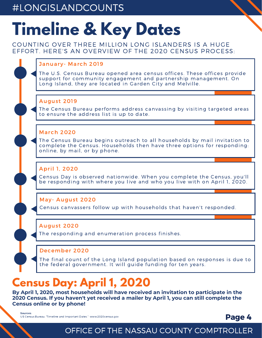## **Timeline & Key Dates**

COUNTING OVER THREE MILLION LONG ISLANDERS IS A HUGE EFFORT. HERE'S AN OVERVIEW OF THE 2020 CENSUS PROCESS:

#### January- March 2019

The U.S. Census Bureau opened area census offices. These offices provide support for community engagement and partnership management. On Long Island, they are located in Garden City and Melville.

#### August 2019

**week 02** The Census Bureau performs address canvassing by visiting targeted areas to ensure the address list is up to date.

#### March 2020

The Census Bureau begins outreach to all households by mail invitation to<br>complete the Census, Households then have three ontions for responding complete the Census. Households then have three options for responding: online, by mail, or by phone.

#### April 1, 2020

be responding with where you live and who you live with on April 1, 2020. Census Day is observed nationwide. When you complete the Census, you'll

#### May- August 2020

Census canvassers follow up with households that haven't responded.

#### August 2020

The responding and enumeration process finishes.

#### **weekbel** December 2020

The final count of the Long Island population based on responses is due to the federal government. It will guide funding for ten years.

## **Census Day: April 1, 2020**

**By April 1, 2020, most households will have received an invitation to participate in the 2020 Census. If you haven't yet received a mailer by April 1, you can still complete the Census online or by phone!**

Sources:

US Census Bureau. "Timeline and Important Dates." www.2020census.gov

#### Page 4

3

## OFFICE OF THE NASSAU COUNTY COMPTROLLER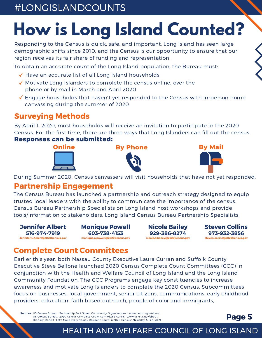## **How is Long Island Counted?**

Responding to the Census is quick, safe, and important. Long Island has seen large demographic shifts since 2010, and the Census is our opportunity to ensure that our region receives its fair share of funding and representation.

To obtain an accurate count of the Long Island population, the Bureau must:

- $\sqrt{}$  Have an accurate list of all Long Island households.
- $\sqrt{\ }$  Motivate Long Islanders to complete the census online, over the phone or by mail in March and April 2020.
- $\checkmark$  Engage households that haven't yet responded to the Census with in-person home canvassing during the summer of 2020.

## Surveying Methods

By April 1, 2020, most households will receive an invitation to participate in the 2020 Census. For the first time, there are three ways that Long Islanders can fill out the census.

#### **Responses can be submitted:**









3

During Summer 2020, Census canvassers will visit households that have not yet responded.

### Partnership Engagement

The Census Bureau has launched a partnership and outreach strategy designed to equip trusted local leaders with the ability to communicate the importance of the census. Census Bureau Partnership Specialists on Long Island host workshops and provide tools/information to stakeholders. Long Island Census Bureau Partnership Specialists:



Monique Powell **603-738-4153 monique.a.powell@2020Census.gov**

Nicole Bailey **929-386-8274 nicole.d.bailey@2020Census.gov** Steven Collins **973-932-3856 steven.collins@2020Census.gov**

### Complete Count Committees

Earlier this year, both Nassau County Executive Laura Curran and Suffolk County Executive Steve Bellone launched 2020 Census Complete Count Committees (CCC) in conjunction with the Health and Welfare Council of Long Island and the Long Island Community Foundation. The CCC Programs engage key constituencies to increase awareness and motivate Long Islanders to complete the 2020 Census. Subcommittees focus on businesses, local government, senior citizens, communications, early childhood providers, education, faith based outreach, people of color and immigrants,

Sources: US Census Bureau. "Partnership Fact Sheet: Community Organizations." www.census.gov/about US Census Bureau. "2020 Census Complete Count Committee Guide." www.census.gov/about Brodsky, Robert. "Let's Make Every Nassau Resident Count in 2020 Census." Newsday. 5 Feb. 2019.

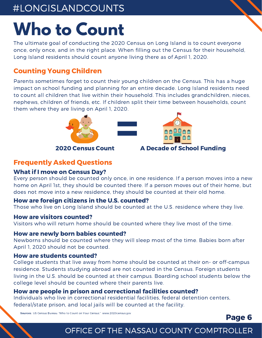## **Who to Count**

The ultimate goal of conducting the 2020 Census on Long Island is to count everyone once, only once, and in the right place. When filling out the Census for their household, Long Island residents should count anyone living there as of April 1, 2020.

#### Counting Young Children

Parents sometimes forget to count their young children on the Census. This has a huge impact on school funding and planning for an entire decade. Long Island residents need to count all children that live within their household. This includes grandchildren, nieces, nephews, children of friends, etc. If children split their time between households, count



#### Frequently Asked Questions

#### What if I move on Census Day?

Every person should be counted only once, in one residence. If a person moves into a new home on April 1st, they should be counted there. If a person moves out of their home, but does not move into a new residence, they should be counted at their old home.

#### How are foreign citizens in the U.S. counted?

Those who live on Long Island should be counted at the U.S. residence where they live.

#### How are visitors counted?

Visitors who will return home should be counted where they live most of the time.

#### How are newly born babies counted?

Newborns should be counted where they will sleep most of the time. Babies born after April 1, 2020 should not be counted.

#### How are students counted?

College students that live away from home should be counted at their on- or off-campus residence. Students studying abroad are not counted in the Census. Foreign students living in the U.S. should be counted at their campus. Boarding school students below the college level should be counted where their parents live.

#### How are people in prison and correctional facilities counted?

Individuals who live in correctional residential facilities, federal detention centers, federal/state prison, and local jails will be counted at the facility.

Sources: US Census Bureau. "Who to Count on Your Census." www.2020census.gov

#### Page 6

3

## OFFICE OF THE NASSAU COUNTY COMPTROLLER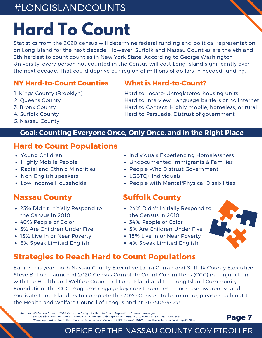## **Hard To Count**

Statistics from the 2020 census will determine federal funding and political representation on Long Island for the next decade. However, Suffolk and Nassau Counties are the 4th and 5th hardest to count counties in New York State. According to George Washington University, every person not counted in the Census will cost Long Island significantly over the next decade. That could deprive our region of millions of dollars in needed funding.

#### NY Hard-to-Count Counties

- 1. Kings County (Brooklyn)
- 2. Queens County
- 3. Bronx County
- 4. Suffolk County
- 5. Nassau County

#### What is Hard-to-Count?

Hard to Locate: Unregistered housing units Hard to Interview: Language barriers or no internet Hard to Contact: Highly mobile, homeless, or rural Hard to Persuade: Distrust of government

#### Goal: Counting Everyone Once, Only Once, and in the Right Place

#### Hard to Count Populations

- Young Children
- Highly Mobile People
- Racial and Ethnic Minorities
- Non-English speakers
- Low Income Households

#### Nassau County

- 23% Didn't Initially Respond to the Census in 2010
- 40% People of Color
- 5% Are Children Under Five
- 15% Live In or Near Poverty
- 6% Speak Limited English
- Individuals Experiencing Homelessness
- Undocumented Immigrants & Families
- People Who Distrust Government
- LGBTQ+ Individuals
- People with Mental/Physical Disabilities

#### Suffolk County

- 24% Didn't Initially Respond to the Census in 2010
- 34% People of Color
- 5% Are Children Under Five
- 18% Live In or Near Poverty
- 4% Speak Limited English

OFFICE OF THE NASSAU COUNTY COMPTROLLER



Earlier this year, both Nassau County Executive Laura Curran and Suffolk County Executive Steve Bellone launched 2020 Census Complete Count Committees (CCC) in conjunction with the Health and Welfare Council of Long Island and the Long Island Community Foundation. The CCC Programs engage key constituencies to increase awareness and motivate Long Islanders to complete the 2020 Census. To learn more, please reach out to the Health and Welfare Council of Long Island at 516-505-4427!

Sources: US Census Bureau. "2020 Census: A Design for Hard to Count Populations." www.census.gov Brown, Nick. "Worried About Undercount, State and Cities Spend to Promote 2020 Census." Reuters. 1 Oct. 2018. "Mapping Hard to Count Communities for a Fair and Accurate 2020 Census." CUNY. www.Censushardtocountmaps2020.us



Page 7

3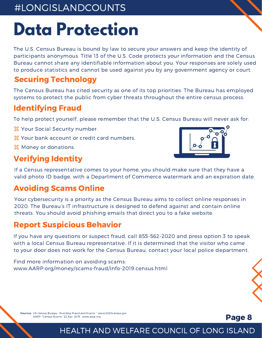## **Data Protection**

The U.S. Census Bureau is bound by law to secure your answers and keep the identity of participants anonymous. Title 13 of the U.S. Code protects your information and the Census Bureau cannot share any identifiable information about you. Your responses are solely used to produce statistics and cannot be used against you by any government agency or court.

### Securing Technology

The Census Bureau has cited security as one of its top priorities. The Bureau has employed systems to protect the public from cyber threats throughout the entire census process.

## Identifying Fraud

To help protect yourself, please remember that the U.S. Census Bureau will never ask for:

- **X** Your Social Security number.
- $\frac{1}{28}$  Your bank account or credit card numbers.
- **X** Money or donations.

## Verifying Identity



3

Page 8

If a Census representative comes to your home, you should make sure that they have a valid photo ID badge, with a Department of Commerce watermark and an expiration date.

## Avoiding Scams Online

Your cybersecurity is a priority as the Census Bureau aims to collect online responses in 2020. The Bureau's IT infrastructure is designed to defend against and contain online threats. You should avoid phishing emails that direct you to a fake website.

### Report Suspicious Behavior

If you have any questions or suspect fraud, call 855-562-2020 and press option 3 to speak with a local Census Bureau representative. If it is determined that the visitor who came to your door does not work for the Census Bureau, contact your local police department.

Find more information on avoiding scams: www.AARP.org/money/scams-fraud/info-2019.census.html

Sources: US Census Bureau. "Avoiding Fraud and Scams." www.2020census.gov AARP. "Census Scams." 22 Apr. 2019. www.aarp.org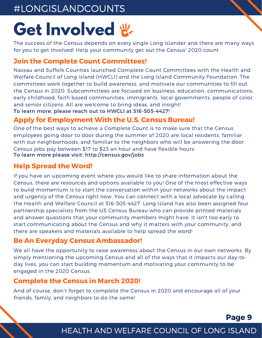## Get **Involved** &

The success of the Census depends on every single Long Islander and there are many ways for you to get involved! Help your community get out the Census' 2020 count.

3

Page 9

#### Join the Complete Count Committees!

Nassau and Suffolk Counties launched Complete Count Committees with the Health and Welfare Council of Long Island (HWCLI) and the Long Island Community Foundation. The committees work together to build awareness, and motivate our communities to fill out the Census in 2020. Subcommittees are focused on business, education, communications, early childhood, faith based communities, immigrants, local governments, people of color, and senior citizens. All are welcome to bring ideas, and insight!

To learn more, please reach out to HWCLI at 516-505-4427!

#### Apply for Employment With the U.S. Census Bureau!

One of the best ways to achieve a Complete Count is to make sure that the Census employees going door to door during the summer of 2020 are local residents, familiar with our neighborhoods, and familiar to the neighbors who will be answering the door. Census jobs pay between \$17 to \$23 an hour and have flexible hours. To learn more please visit: http://census.gov/jobs

#### Help Spread the Word!

If you have an upcoming event where you would like to share information about the Census, there are resources and options available to you! One of the most effective ways to build momentum is to start the conversation within your networks about the impact and urgency of the Census right now. You can connect with a local advocate by calling the Health and Welfare Council at 516-505-4427. Long Island has also been assigned four partnership specialists from the US Census Bureau who can provide printed materials and answer questions that your community members might have. It isn't too early to start communicating about the Census and why it matters with your community, and there are speakers and materials available to help spread the word!

#### Be An Everyday Census Ambassador!

We all have the opportunity to raise awareness about the Census in our own networks. By simply mentioning the upcoming Census and all of the ways that it impacts our day-today lives, you can start building momentum and motivating your community to be engaged in the 2020 Census.

#### Complete the Census in March 2020!

And of course, don't forget to complete the Census in 2020 and encourage all of your friends, family, and neighbors to do the same!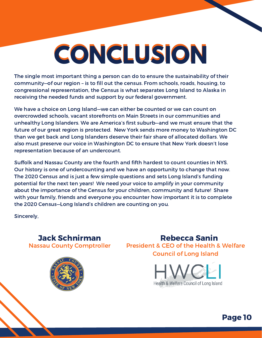# **CONCLUSION**

The single most important thing a person can do to ensure the sustainability of their community—of our region – is to fill out the census. From schools, roads, housing, to congressional representation, the Census is what separates Long Island to Alaska in receiving the needed funds and support by our federal government.

We have a choice on Long Island—we can either be counted or we can count on overcrowded schools, vacant storefronts on Main Streets in our communities and unhealthy Long Islanders. We are America's first suburb—and we must ensure that the future of our great region is protected. New York sends more money to Washington DC than we get back and Long Islanders deserve their fair share of allocated dollars. We also must preserve our voice in Washington DC to ensure that New York doesn't lose representation because of an undercount.

Suffolk and Nassau County are the fourth and fifth hardest to count counties in NYS. Our history is one of undercounting and we have an opportunity to change that now. The 2020 Census and is just a few simple questions and sets Long Island's funding potential for the next ten years! We need your voice to amplify in your community about the importance of the Census for your children, community and future! Share with your family, friends and everyone you encounter how important it is to complete the 2020 Census—Long Island's children are counting on you.

Sincerely,





Jack Schnirman Rebecca Sanin President & CEO of the Health & Welfare Council of Long Island



Page 10